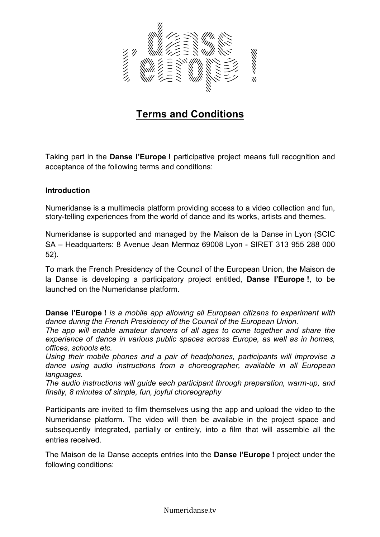

# **Terms and Conditions**

Taking part in the **Danse l'Europe !** participative project means full recognition and acceptance of the following terms and conditions:

#### **Introduction**

Numeridanse is a multimedia platform providing access to a video collection and fun, story-telling experiences from the world of dance and its works, artists and themes.

Numeridanse is supported and managed by the Maison de la Danse in Lyon (SCIC SA – Headquarters: 8 Avenue Jean Mermoz 69008 Lyon - SIRET 313 955 288 000 52).

To mark the French Presidency of the Council of the European Union, the Maison de la Danse is developing a participatory project entitled, **Danse l'Europe !**, to be launched on the Numeridanse platform.

**Danse l'Europe !** *is a mobile app allowing all European citizens to experiment with dance during the French Presidency of the Council of the European Union.* 

*The app will enable amateur dancers of all ages to come together and share the experience of dance in various public spaces across Europe, as well as in homes, offices, schools etc.* 

*Using their mobile phones and a pair of headphones, participants will improvise a dance using audio instructions from a choreographer, available in all European languages.* 

*The audio instructions will guide each participant through preparation, warm-up, and finally, 8 minutes of simple, fun, joyful choreography* 

Participants are invited to film themselves using the app and upload the video to the Numeridanse platform. The video will then be available in the project space and subsequently integrated, partially or entirely, into a film that will assemble all the entries received.

The Maison de la Danse accepts entries into the **Danse l'Europe !** project under the following conditions:

Numeridanse.tv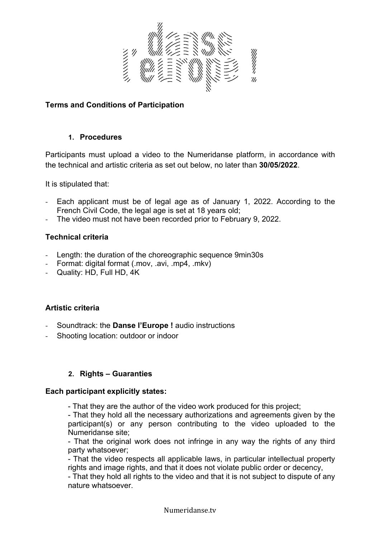

### **Terms and Conditions of Participation**

#### **1. Procedures**

Participants must upload a video to the Numeridanse platform, in accordance with the technical and artistic criteria as set out below, no later than **30/05/2022**.

It is stipulated that:

- Each applicant must be of legal age as of January 1, 2022. According to the French Civil Code, the legal age is set at 18 years old;
- The video must not have been recorded prior to February 9, 2022.

# **Technical criteria**

- Length: the duration of the choreographic sequence 9min30s
- Format: digital format (.mov, .avi, .mp4, .mkv)
- Quality: HD, Full HD, 4K

# **Artistic criteria**

- Soundtrack: the **Danse l'Europe !** audio instructions
- Shooting location: outdoor or indoor

# **2. Rights – Guaranties**

#### **Each participant explicitly states:**

- That they are the author of the video work produced for this project;

- That they hold all the necessary authorizations and agreements given by the participant(s) or any person contributing to the video uploaded to the Numeridanse site;

- That the original work does not infringe in any way the rights of any third party whatsoever;

- That the video respects all applicable laws, in particular intellectual property rights and image rights, and that it does not violate public order or decency,

- That they hold all rights to the video and that it is not subject to dispute of any nature whatsoever.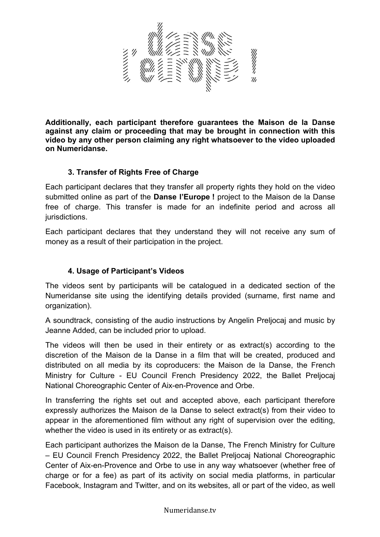

**Additionally, each participant therefore guarantees the Maison de la Danse against any claim or proceeding that may be brought in connection with this video by any other person claiming any right whatsoever to the video uploaded on Numeridanse.** 

# **3. Transfer of Rights Free of Charge**

Each participant declares that they transfer all property rights they hold on the video submitted online as part of the **Danse l'Europe !** project to the Maison de la Danse free of charge. This transfer is made for an indefinite period and across all jurisdictions.

Each participant declares that they understand they will not receive any sum of money as a result of their participation in the project.

# **4. Usage of Participant's Videos**

The videos sent by participants will be catalogued in a dedicated section of the Numeridanse site using the identifying details provided (surname, first name and organization).

A soundtrack, consisting of the audio instructions by Angelin Preljocaj and music by Jeanne Added, can be included prior to upload.

The videos will then be used in their entirety or as extract(s) according to the discretion of the Maison de la Danse in a film that will be created, produced and distributed on all media by its coproducers: the Maison de la Danse, the French Ministry for Culture - EU Council French Presidency 2022, the Ballet Preljocaj National Choreographic Center of Aix-en-Provence and Orbe.

In transferring the rights set out and accepted above, each participant therefore expressly authorizes the Maison de la Danse to select extract(s) from their video to appear in the aforementioned film without any right of supervision over the editing, whether the video is used in its entirety or as extract(s).

Each participant authorizes the Maison de la Danse, The French Ministry for Culture – EU Council French Presidency 2022, the Ballet Preljocaj National Choreographic Center of Aix-en-Provence and Orbe to use in any way whatsoever (whether free of charge or for a fee) as part of its activity on social media platforms, in particular Facebook, Instagram and Twitter, and on its websites, all or part of the video, as well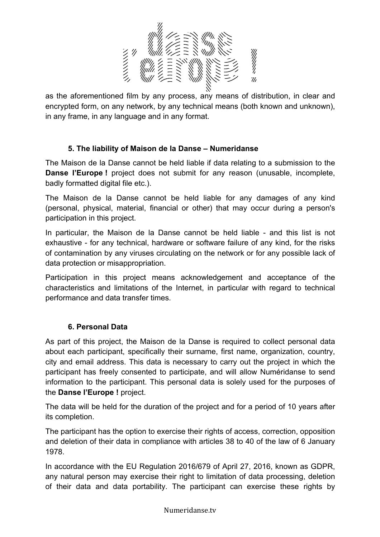

as the aforementioned film by any process, any means of distribution, in clear and encrypted form, on any network, by any technical means (both known and unknown), in any frame, in any language and in any format.

# **5. The liability of Maison de la Danse – Numeridanse**

The Maison de la Danse cannot be held liable if data relating to a submission to the **Danse l'Europe** ! project does not submit for any reason (unusable, incomplete, badly formatted digital file etc.).

The Maison de la Danse cannot be held liable for any damages of any kind (personal, physical, material, financial or other) that may occur during a person's participation in this project.

In particular, the Maison de la Danse cannot be held liable - and this list is not exhaustive - for any technical, hardware or software failure of any kind, for the risks of contamination by any viruses circulating on the network or for any possible lack of data protection or misappropriation.

Participation in this project means acknowledgement and acceptance of the characteristics and limitations of the Internet, in particular with regard to technical performance and data transfer times.

# **6. Personal Data**

As part of this project, the Maison de la Danse is required to collect personal data about each participant, specifically their surname, first name, organization, country, city and email address. This data is necessary to carry out the project in which the participant has freely consented to participate, and will allow Numéridanse to send information to the participant. This personal data is solely used for the purposes of the **Danse l'Europe !** project.

The data will be held for the duration of the project and for a period of 10 years after its completion.

The participant has the option to exercise their rights of access, correction, opposition and deletion of their data in compliance with articles 38 to 40 of the law of 6 January 1978.

In accordance with the EU Regulation 2016/679 of April 27, 2016, known as GDPR, any natural person may exercise their right to limitation of data processing, deletion of their data and data portability. The participant can exercise these rights by